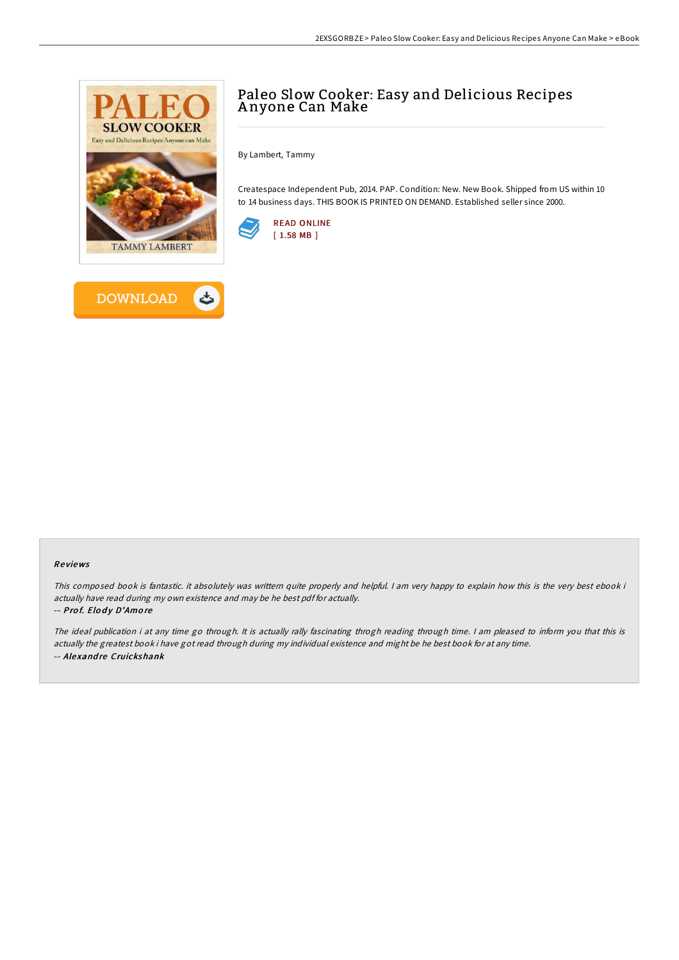



By Lambert, Tammy

Createspace Independent Pub, 2014. PAP. Condition: New. New Book. Shipped from US within 10 to 14 business days. THIS BOOK IS PRINTED ON DEMAND. Established seller since 2000.





## Re views

This composed book is fantastic. it absolutely was writtern quite properly and helpful. I am very happy to explain how this is the very best ebook i actually have read during my own existence and may be he best pdf for actually.

## -- Prof. Elody D'Amore

The ideal publication i at any time go through. It is actually rally fascinating throgh reading through time. I am pleased to inform you that this is actually the greatest book i have got read through during my individual existence and might be he best book for at any time. -- Alexandre Cruickshank